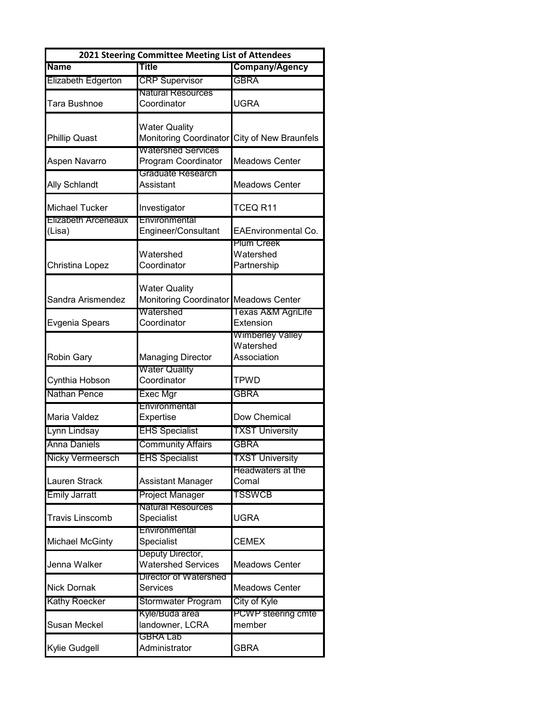| 2021 Steering Committee Meeting List of Attendees |                                                |                                                 |  |
|---------------------------------------------------|------------------------------------------------|-------------------------------------------------|--|
| <b>Name</b>                                       | Title                                          | <b>Company/Agency</b>                           |  |
| Elizabeth Edgerton                                | <b>CRP Supervisor</b>                          | <b>GBRA</b>                                     |  |
|                                                   | <b>Natural Resources</b>                       |                                                 |  |
| Tara Bushnoe                                      | Coordinator                                    | <b>UGRA</b>                                     |  |
|                                                   |                                                |                                                 |  |
| <b>Phillip Quast</b>                              | <b>Water Quality</b><br>Monitoring Coordinator | <b>City of New Braunfels</b>                    |  |
|                                                   | <b>Watershed Services</b>                      |                                                 |  |
| Aspen Navarro                                     | Program Coordinator                            | <b>Meadows Center</b>                           |  |
|                                                   | Graduate Research                              |                                                 |  |
| <b>Ally Schlandt</b>                              | Assistant                                      | <b>Meadows Center</b>                           |  |
|                                                   |                                                |                                                 |  |
| <b>Michael Tucker</b>                             | Investigator                                   | TCEQ <sub>R11</sub>                             |  |
| <b>Llizabeth Arceneaux</b>                        | Environmental                                  |                                                 |  |
| (Lisa)                                            | Engineer/Consultant                            | <b>EAEnvironmental Co.</b><br><b>Plum Creek</b> |  |
|                                                   | Watershed                                      | Watershed                                       |  |
| Christina Lopez                                   | Coordinator                                    | Partnership                                     |  |
|                                                   |                                                |                                                 |  |
|                                                   | <b>Water Quality</b>                           |                                                 |  |
| Sandra Arismendez                                 | Monitoring Coordinator Meadows Center          |                                                 |  |
|                                                   | Watershed                                      | <b>I exas A&amp;M AgriLite</b>                  |  |
| Evgenia Spears                                    | Coordinator                                    | Extension                                       |  |
|                                                   |                                                | Wimberley Valley<br>Watershed                   |  |
| <b>Robin Gary</b>                                 | <b>Managing Director</b>                       | Association                                     |  |
|                                                   | <b>Water Quality</b>                           |                                                 |  |
| Cynthia Hobson                                    | Coordinator                                    | <b>TPWD</b>                                     |  |
| <b>Nathan Pence</b>                               | <b>Exec Mgr</b>                                | <b>GBRA</b>                                     |  |
|                                                   | Environmental                                  |                                                 |  |
| Maria Valdez                                      | Expertise                                      | Dow Chemical                                    |  |
| Lynn Lindsay                                      | <b>EHS Specialist</b>                          | <b>TXST University</b>                          |  |
| <b>Anna Daniels</b>                               | <b>Community Affairs</b>                       | <b>GBRA</b>                                     |  |
| Nicky Vermeersch                                  | <b>EHS Specialist</b>                          | <b>TXST University</b>                          |  |
|                                                   |                                                | Headwaters at the                               |  |
| Lauren Strack                                     | Assistant Manager                              | Comal                                           |  |
| <b>Emily Jarratt</b>                              | Project Manager                                | TSSWCB                                          |  |
|                                                   | <b>Natural Resources</b>                       |                                                 |  |
| <b>Travis Linscomb</b>                            | Specialist                                     | <b>UGRA</b>                                     |  |
|                                                   | Environmental                                  |                                                 |  |
| <b>Michael McGinty</b>                            | Specialist                                     | <b>CEMEX</b>                                    |  |
| Jenna Walker                                      | Deputy Director,<br><b>Watershed Services</b>  | <b>Meadows Center</b>                           |  |
|                                                   | <b>Director of Watershed</b>                   |                                                 |  |
| <b>Nick Dornak</b>                                | Services                                       | <b>Meadows Center</b>                           |  |
| <b>Kathy Roecker</b>                              | Stormwater Program                             | City of Kyle                                    |  |
|                                                   | Kyle/Buda area                                 | PCWP steering cmte                              |  |
| Susan Meckel                                      | landowner, LCRA                                | member                                          |  |
|                                                   | <b>GBRA Lab</b>                                |                                                 |  |
| Kylie Gudgell                                     | Administrator                                  | <b>GBRA</b>                                     |  |